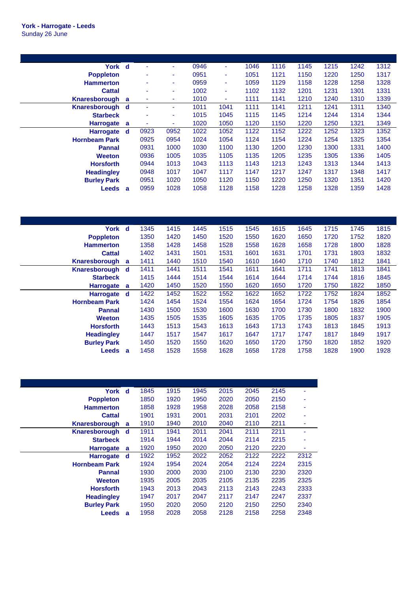| York d               |   | ٠    | ٠    | 0946 | ٠    | 1046 | 1116 | 1145 | 1215 | 1242 | 1312 |
|----------------------|---|------|------|------|------|------|------|------|------|------|------|
| <b>Poppleton</b>     |   | ٠    | ٠    | 0951 | ۰.   | 1051 | 1121 | 1150 | 1220 | 1250 | 1317 |
| <b>Hammerton</b>     |   | ٠    | ٠    | 0959 | ٠    | 1059 | 1129 | 1158 | 1228 | 1258 | 1328 |
| <b>Cattal</b>        |   | ۰    | ٠    | 1002 | ٠    | 1102 | 1132 | 1201 | 1231 | 1301 | 1331 |
| Knaresborough        | a | ۰    | ٠    | 1010 | ٠    | 1111 | 1141 | 1210 | 1240 | 1310 | 1339 |
| Knaresborough        | d | ٠    | ٠    | 1011 | 1041 | 1111 | 1141 | 1211 | 1241 | 1311 | 1340 |
| <b>Starbeck</b>      |   | ۰    | ۰    | 1015 | 1045 | 1115 | 1145 | 1214 | 1244 | 1314 | 1344 |
| <b>Harrogate</b>     | a | ٠    | ٠    | 1020 | 1050 | 1120 | 1150 | 1220 | 1250 | 1321 | 1349 |
| <b>Harrogate</b>     | d | 0923 | 0952 | 1022 | 1052 | 1122 | 1152 | 1222 | 1252 | 1323 | 1352 |
| <b>Hornbeam Park</b> |   | 0925 | 0954 | 1024 | 1054 | 1124 | 1154 | 1224 | 1254 | 1325 | 1354 |
| <b>Pannal</b>        |   | 0931 | 1000 | 1030 | 1100 | 1130 | 1200 | 1230 | 1300 | 1331 | 1400 |
| <b>Weeton</b>        |   | 0936 | 1005 | 1035 | 1105 | 1135 | 1205 | 1235 | 1305 | 1336 | 1405 |
| <b>Horsforth</b>     |   | 0944 | 1013 | 1043 | 1113 | 1143 | 1213 | 1243 | 1313 | 1344 | 1413 |
| <b>Headingley</b>    |   | 0948 | 1017 | 1047 | 1117 | 1147 | 1217 | 1247 | 1317 | 1348 | 1417 |
| <b>Burley Park</b>   |   | 0951 | 1020 | 1050 | 1120 | 1150 | 1220 | 1250 | 1320 | 1351 | 1420 |
| <b>Leeds</b>         | a | 0959 | 1028 | 1058 | 1128 | 1158 | 1228 | 1258 | 1328 | 1359 | 1428 |

| York d               |   | 1345 | 1415 | 1445 | 1515 | 1545 | 1615 | 1645 | 1715 | 1745 | 1815 |
|----------------------|---|------|------|------|------|------|------|------|------|------|------|
| <b>Poppleton</b>     |   | 1350 | 1420 | 1450 | 1520 | 1550 | 1620 | 1650 | 1720 | 1752 | 1820 |
| <b>Hammerton</b>     |   | 1358 | 1428 | 1458 | 1528 | 1558 | 1628 | 1658 | 1728 | 1800 | 1828 |
| <b>Cattal</b>        |   | 1402 | 1431 | 1501 | 1531 | 1601 | 1631 | 1701 | 1731 | 1803 | 1832 |
| Knaresborough        | a | 1411 | 1440 | 1510 | 1540 | 1610 | 1640 | 1710 | 1740 | 1812 | 1841 |
| Knaresborough d      |   | 1411 | 1441 | 1511 | 1541 | 1611 | 1641 | 1711 | 1741 | 1813 | 1841 |
| <b>Starbeck</b>      |   | 1415 | 1444 | 1514 | 1544 | 1614 | 1644 | 1714 | 1744 | 1816 | 1845 |
| <b>Harrogate</b>     | a | 1420 | 1450 | 1520 | 1550 | 1620 | 1650 | 1720 | 1750 | 1822 | 1850 |
| <b>Harrogate</b>     | d | 1422 | 1452 | 1522 | 1552 | 1622 | 1652 | 1722 | 1752 | 1824 | 1852 |
| <b>Hornbeam Park</b> |   | 1424 | 1454 | 1524 | 1554 | 1624 | 1654 | 1724 | 1754 | 1826 | 1854 |
| <b>Pannal</b>        |   | 1430 | 1500 | 1530 | 1600 | 1630 | 1700 | 1730 | 1800 | 1832 | 1900 |
| <b>Weeton</b>        |   | 1435 | 1505 | 1535 | 1605 | 1635 | 1705 | 1735 | 1805 | 1837 | 1905 |
| <b>Horsforth</b>     |   | 1443 | 1513 | 1543 | 1613 | 1643 | 1713 | 1743 | 1813 | 1845 | 1913 |
| <b>Headingley</b>    |   | 1447 | 1517 | 1547 | 1617 | 1647 | 1717 | 1747 | 1817 | 1849 | 1917 |
| <b>Burley Park</b>   |   | 1450 | 1520 | 1550 | 1620 | 1650 | 1720 | 1750 | 1820 | 1852 | 1920 |
| <b>Leeds</b>         | a | 1458 | 1528 | 1558 | 1628 | 1658 | 1728 | 1758 | 1828 | 1900 | 1928 |

| York d               |   | 1845 | 1915 | 1945 | 2015 | 2045 | 2145 | ٠    |
|----------------------|---|------|------|------|------|------|------|------|
| <b>Poppleton</b>     |   | 1850 | 1920 | 1950 | 2020 | 2050 | 2150 | ٠    |
| <b>Hammerton</b>     |   | 1858 | 1928 | 1958 | 2028 | 2058 | 2158 |      |
| <b>Cattal</b>        |   | 1901 | 1931 | 2001 | 2031 | 2101 | 2202 |      |
| Knaresborough        | a | 1910 | 1940 | 2010 | 2040 | 2110 | 2211 | ٠    |
| Knaresborough        | d | 1911 | 1941 | 2011 | 2041 | 2111 | 2211 | ٠    |
| <b>Starbeck</b>      |   | 1914 | 1944 | 2014 | 2044 | 2114 | 2215 |      |
| <b>Harrogate</b>     | a | 1920 | 1950 | 2020 | 2050 | 2120 | 2220 | ٠    |
| <b>Harrogate</b>     | d | 1922 | 1952 | 2022 | 2052 | 2122 | 2222 | 2312 |
| <b>Hornbeam Park</b> |   | 1924 | 1954 | 2024 | 2054 | 2124 | 2224 | 2315 |
| <b>Pannal</b>        |   | 1930 | 2000 | 2030 | 2100 | 2130 | 2230 | 2320 |
| <b>Weeton</b>        |   | 1935 | 2005 | 2035 | 2105 | 2135 | 2235 | 2325 |
| <b>Horsforth</b>     |   | 1943 | 2013 | 2043 | 2113 | 2143 | 2243 | 2333 |
| <b>Headingley</b>    |   | 1947 | 2017 | 2047 | 2117 | 2147 | 2247 | 2337 |
| <b>Burley Park</b>   |   | 1950 | 2020 | 2050 | 2120 | 2150 | 2250 | 2340 |
| Leeds                | a | 1958 | 2028 | 2058 | 2128 | 2158 | 2258 | 2348 |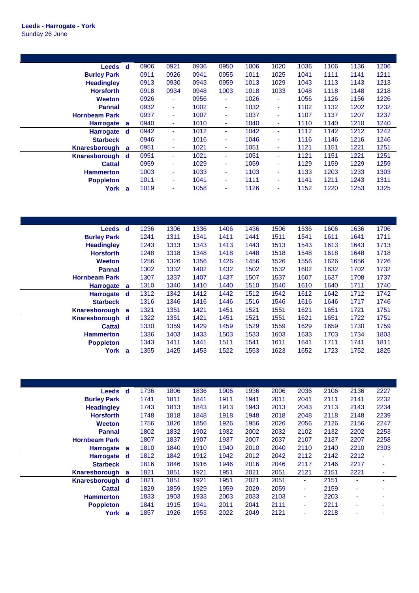| Leeds d              |   | 0906 | 0921           | 0936 | 0950 | 1006 | 1020 | 1036 | 1106 | 1136 | 1206 |
|----------------------|---|------|----------------|------|------|------|------|------|------|------|------|
| <b>Burley Park</b>   |   | 0911 | 0926           | 0941 | 0955 | 1011 | 1025 | 1041 | 1111 | 1141 | 1211 |
| <b>Headingley</b>    |   | 0913 | 0930           | 0943 | 0959 | 1013 | 1029 | 1043 | 1113 | 1143 | 1213 |
| <b>Horsforth</b>     |   | 0918 | 0934           | 0948 | 1003 | 1018 | 1033 | 1048 | 1118 | 1148 | 1218 |
| <b>Weeton</b>        |   | 0926 | $\blacksquare$ | 0956 | ٠    | 1026 | ٠    | 1056 | 1126 | 1156 | 1226 |
| <b>Pannal</b>        |   | 0932 | ٠              | 1002 | ٠    | 1032 | ٠    | 1102 | 1132 | 1202 | 1232 |
| <b>Hornbeam Park</b> |   | 0937 | ٠              | 1007 | ۰.   | 1037 | ٠    | 1107 | 1137 | 1207 | 1237 |
| <b>Harrogate</b>     | a | 0940 | ٠              | 1010 | ٠    | 1040 | ٠    | 1110 | 1140 | 1210 | 1240 |
| <b>Harrogate</b>     | d | 0942 | ٠              | 1012 | ٠    | 1042 | ٠    | 1112 | 1142 | 1212 | 1242 |
| <b>Starbeck</b>      |   | 0946 | ٠              | 1016 | ٠    | 1046 | ٠    | 1116 | 1146 | 1216 | 1246 |
| Knaresborough        | a | 0951 | ٠              | 1021 | ٠    | 1051 | ٠    | 1121 | 1151 | 1221 | 1251 |
| Knaresborough d      |   | 0951 | ٠              | 1021 | ٠    | 1051 | ٠    | 1121 | 1151 | 1221 | 1251 |
| <b>Cattal</b>        |   | 0959 | ٠              | 1029 | ٠    | 1059 | ٠    | 1129 | 1159 | 1229 | 1259 |
| <b>Hammerton</b>     |   | 1003 | ٠              | 1033 | ٠    | 1103 | ٠    | 1133 | 1203 | 1233 | 1303 |
| <b>Poppleton</b>     |   | 1011 | ٠              | 1041 | ٠    | 1111 | ٠    | 1141 | 1211 | 1243 | 1311 |
| York                 | a | 1019 | ٠              | 1058 |      | 1126 | ۰    | 1152 | 1220 | 1253 | 1325 |

| Leeds d               | 1236 | 1306 | 1336 | 1406 | 1436 | 1506 | 1536 | 1606 | 1636 | 1706 |
|-----------------------|------|------|------|------|------|------|------|------|------|------|
|                       | 1241 | 1311 | 1341 | 1411 | 1441 | 1511 | 1541 | 1611 | 1641 | 1711 |
|                       | 1243 | 1313 | 1343 | 1413 | 1443 | 1513 | 1543 | 1613 | 1643 | 1713 |
|                       | 1248 | 1318 | 1348 | 1418 | 1448 | 1518 | 1548 | 1618 | 1648 | 1718 |
|                       | 1256 | 1326 | 1356 | 1426 | 1456 | 1526 | 1556 | 1626 | 1656 | 1726 |
|                       | 1302 | 1332 | 1402 | 1432 | 1502 | 1532 | 1602 | 1632 | 1702 | 1732 |
|                       | 1307 | 1337 | 1407 | 1437 | 1507 | 1537 | 1607 | 1637 | 1708 | 1737 |
| <b>Harrogate</b><br>a | 1310 | 1340 | 1410 | 1440 | 1510 | 1540 | 1610 | 1640 | 1711 | 1740 |
| Harrogate d           | 1312 | 1342 | 1412 | 1442 | 1512 | 1542 | 1612 | 1642 | 1712 | 1742 |
|                       | 1316 | 1346 | 1416 | 1446 | 1516 | 1546 | 1616 | 1646 | 1717 | 1746 |
| Knaresborough<br>a    | 1321 | 1351 | 1421 | 1451 | 1521 | 1551 | 1621 | 1651 | 1721 | 1751 |
| Knaresborough d       | 1322 | 1351 | 1421 | 1451 | 1521 | 1551 | 1621 | 1651 | 1722 | 1751 |
|                       | 1330 | 1359 | 1429 | 1459 | 1529 | 1559 | 1629 | 1659 | 1730 | 1759 |
|                       | 1336 | 1403 | 1433 | 1503 | 1533 | 1603 | 1633 | 1703 | 1734 | 1803 |
|                       |      |      |      |      |      |      |      |      |      |      |
|                       | 1343 | 1411 | 1441 | 1511 | 1541 | 1611 | 1641 | 1711 | 1741 | 1811 |
|                       |      |      |      |      |      |      |      |      |      |      |

| <b>Leeds</b>         | d        | 1736 | 1806 | 1836 | 1906 | 1936 | 2006 | 2036 | 2106 | 2136 | 2227 |
|----------------------|----------|------|------|------|------|------|------|------|------|------|------|
| <b>Burley Park</b>   |          | 1741 | 1811 | 1841 | 1911 | 1941 | 2011 | 2041 | 2111 | 2141 | 2232 |
| <b>Headingley</b>    |          | 1743 | 1813 | 1843 | 1913 | 1943 | 2013 | 2043 | 2113 | 2143 | 2234 |
| <b>Horsforth</b>     |          | 1748 | 1818 | 1848 | 1918 | 1948 | 2018 | 2048 | 2118 | 2148 | 2239 |
| <b>Weeton</b>        |          | 1756 | 1826 | 1856 | 1926 | 1956 | 2026 | 2056 | 2126 | 2156 | 2247 |
| <b>Pannal</b>        |          | 1802 | 1832 | 1902 | 1932 | 2002 | 2032 | 2102 | 2132 | 2202 | 2253 |
| <b>Hornbeam Park</b> |          | 1807 | 1837 | 1907 | 1937 | 2007 | 2037 | 2107 | 2137 | 2207 | 2258 |
| Harrogate a          |          | 1810 | 1840 | 1910 | 1940 | 2010 | 2040 | 2110 | 2140 | 2210 | 2303 |
| <b>Harrogate</b>     | ∣d.      | 1812 | 1842 | 1912 | 1942 | 2012 | 2042 | 2112 | 2142 | 2212 | ٠    |
| <b>Starbeck</b>      |          | 1816 | 1846 | 1916 | 1946 | 2016 | 2046 | 2117 | 2146 | 2217 | ٠    |
| Knaresborough        | a        | 1821 | 1851 | 1921 | 1951 | 2021 | 2051 | 2121 | 2151 | 2221 | ۰    |
| Knaresborough        | <b>d</b> | 1821 | 1851 | 1921 | 1951 | 2021 | 2051 | ٠    | 2151 | ٠    | ۰    |
| <b>Cattal</b>        |          | 1829 | 1859 | 1929 | 1959 | 2029 | 2059 | ٠    | 2159 | ۰    | ۰    |
| <b>Hammerton</b>     |          | 1833 | 1903 | 1933 | 2003 | 2033 | 2103 | ۰    | 2203 | ۰    | ۰    |
| <b>Poppleton</b>     |          | 1841 | 1915 | 1941 | 2011 | 2041 | 2111 | ٠    | 2211 | ٠    | ۰    |
| York                 | a        | 1857 | 1926 | 1953 | 2022 | 2049 | 2121 | ۰    | 2218 | ۰    | ۰    |